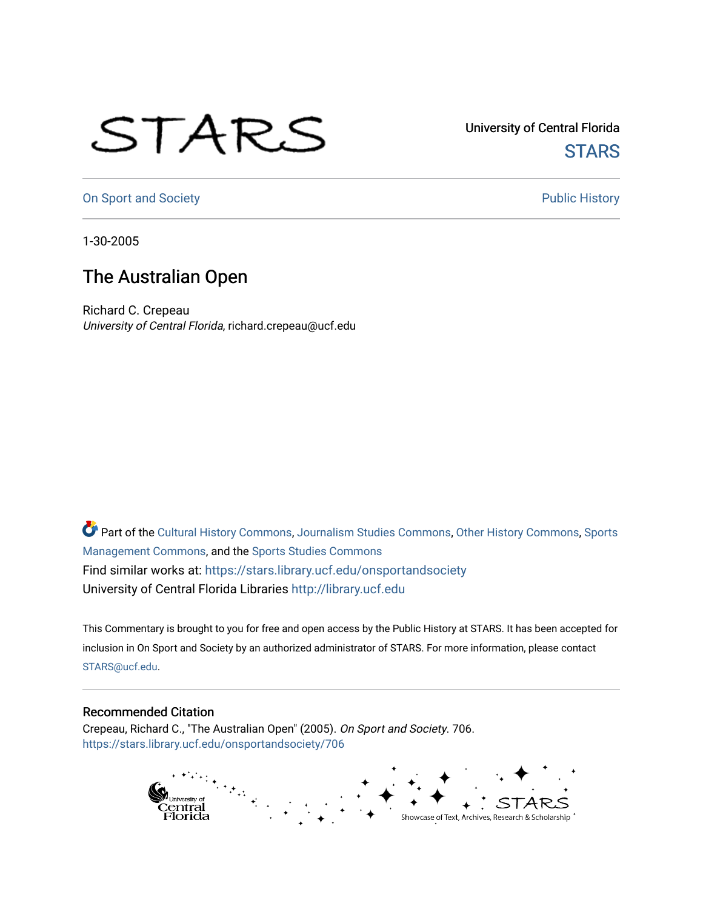## STARS

University of Central Florida **STARS** 

[On Sport and Society](https://stars.library.ucf.edu/onsportandsociety) **Public History** Public History

1-30-2005

## The Australian Open

Richard C. Crepeau University of Central Florida, richard.crepeau@ucf.edu

Part of the [Cultural History Commons](http://network.bepress.com/hgg/discipline/496?utm_source=stars.library.ucf.edu%2Fonsportandsociety%2F706&utm_medium=PDF&utm_campaign=PDFCoverPages), [Journalism Studies Commons,](http://network.bepress.com/hgg/discipline/333?utm_source=stars.library.ucf.edu%2Fonsportandsociety%2F706&utm_medium=PDF&utm_campaign=PDFCoverPages) [Other History Commons,](http://network.bepress.com/hgg/discipline/508?utm_source=stars.library.ucf.edu%2Fonsportandsociety%2F706&utm_medium=PDF&utm_campaign=PDFCoverPages) [Sports](http://network.bepress.com/hgg/discipline/1193?utm_source=stars.library.ucf.edu%2Fonsportandsociety%2F706&utm_medium=PDF&utm_campaign=PDFCoverPages) [Management Commons](http://network.bepress.com/hgg/discipline/1193?utm_source=stars.library.ucf.edu%2Fonsportandsociety%2F706&utm_medium=PDF&utm_campaign=PDFCoverPages), and the [Sports Studies Commons](http://network.bepress.com/hgg/discipline/1198?utm_source=stars.library.ucf.edu%2Fonsportandsociety%2F706&utm_medium=PDF&utm_campaign=PDFCoverPages) Find similar works at: <https://stars.library.ucf.edu/onsportandsociety> University of Central Florida Libraries [http://library.ucf.edu](http://library.ucf.edu/) 

This Commentary is brought to you for free and open access by the Public History at STARS. It has been accepted for inclusion in On Sport and Society by an authorized administrator of STARS. For more information, please contact [STARS@ucf.edu](mailto:STARS@ucf.edu).

## Recommended Citation

Crepeau, Richard C., "The Australian Open" (2005). On Sport and Society. 706. [https://stars.library.ucf.edu/onsportandsociety/706](https://stars.library.ucf.edu/onsportandsociety/706?utm_source=stars.library.ucf.edu%2Fonsportandsociety%2F706&utm_medium=PDF&utm_campaign=PDFCoverPages)

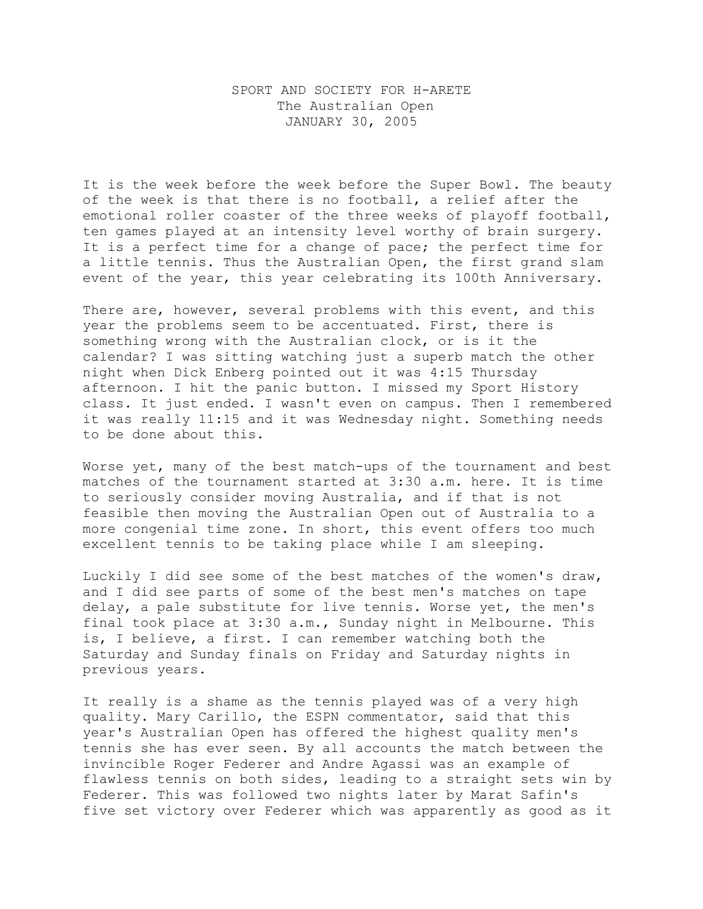## SPORT AND SOCIETY FOR H-ARETE The Australian Open JANUARY 30, 2005

It is the week before the week before the Super Bowl. The beauty of the week is that there is no football, a relief after the emotional roller coaster of the three weeks of playoff football, ten games played at an intensity level worthy of brain surgery. It is a perfect time for a change of pace; the perfect time for a little tennis. Thus the Australian Open, the first grand slam event of the year, this year celebrating its 100th Anniversary.

There are, however, several problems with this event, and this year the problems seem to be accentuated. First, there is something wrong with the Australian clock, or is it the calendar? I was sitting watching just a superb match the other night when Dick Enberg pointed out it was 4:15 Thursday afternoon. I hit the panic button. I missed my Sport History class. It just ended. I wasn't even on campus. Then I remembered it was really 11:15 and it was Wednesday night. Something needs to be done about this.

Worse yet, many of the best match-ups of the tournament and best matches of the tournament started at 3:30 a.m. here. It is time to seriously consider moving Australia, and if that is not feasible then moving the Australian Open out of Australia to a more congenial time zone. In short, this event offers too much excellent tennis to be taking place while I am sleeping.

Luckily I did see some of the best matches of the women's draw, and I did see parts of some of the best men's matches on tape delay, a pale substitute for live tennis. Worse yet, the men's final took place at 3:30 a.m., Sunday night in Melbourne. This is, I believe, a first. I can remember watching both the Saturday and Sunday finals on Friday and Saturday nights in previous years.

It really is a shame as the tennis played was of a very high quality. Mary Carillo, the ESPN commentator, said that this year's Australian Open has offered the highest quality men's tennis she has ever seen. By all accounts the match between the invincible Roger Federer and Andre Agassi was an example of flawless tennis on both sides, leading to a straight sets win by Federer. This was followed two nights later by Marat Safin's five set victory over Federer which was apparently as good as it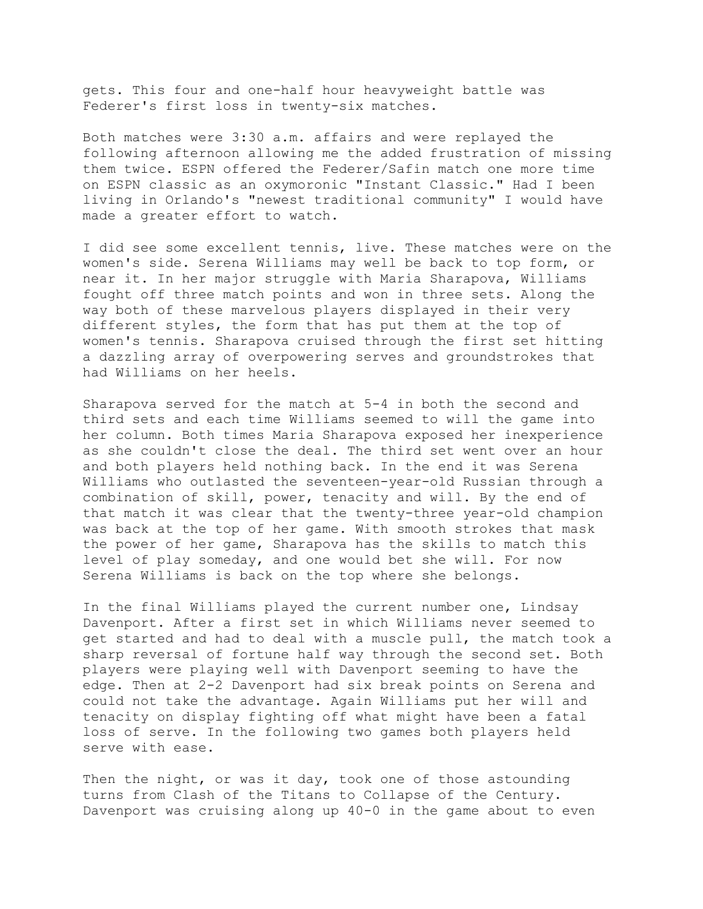gets. This four and one-half hour heavyweight battle was Federer's first loss in twenty-six matches.

Both matches were 3:30 a.m. affairs and were replayed the following afternoon allowing me the added frustration of missing them twice. ESPN offered the Federer/Safin match one more time on ESPN classic as an oxymoronic "Instant Classic." Had I been living in Orlando's "newest traditional community" I would have made a greater effort to watch.

I did see some excellent tennis, live. These matches were on the women's side. Serena Williams may well be back to top form, or near it. In her major struggle with Maria Sharapova, Williams fought off three match points and won in three sets. Along the way both of these marvelous players displayed in their very different styles, the form that has put them at the top of women's tennis. Sharapova cruised through the first set hitting a dazzling array of overpowering serves and groundstrokes that had Williams on her heels.

Sharapova served for the match at 5-4 in both the second and third sets and each time Williams seemed to will the game into her column. Both times Maria Sharapova exposed her inexperience as she couldn't close the deal. The third set went over an hour and both players held nothing back. In the end it was Serena Williams who outlasted the seventeen-year-old Russian through a combination of skill, power, tenacity and will. By the end of that match it was clear that the twenty-three year-old champion was back at the top of her game. With smooth strokes that mask the power of her game, Sharapova has the skills to match this level of play someday, and one would bet she will. For now Serena Williams is back on the top where she belongs.

In the final Williams played the current number one, Lindsay Davenport. After a first set in which Williams never seemed to get started and had to deal with a muscle pull, the match took a sharp reversal of fortune half way through the second set. Both players were playing well with Davenport seeming to have the edge. Then at 2-2 Davenport had six break points on Serena and could not take the advantage. Again Williams put her will and tenacity on display fighting off what might have been a fatal loss of serve. In the following two games both players held serve with ease.

Then the night, or was it day, took one of those astounding turns from Clash of the Titans to Collapse of the Century. Davenport was cruising along up 40-0 in the game about to even